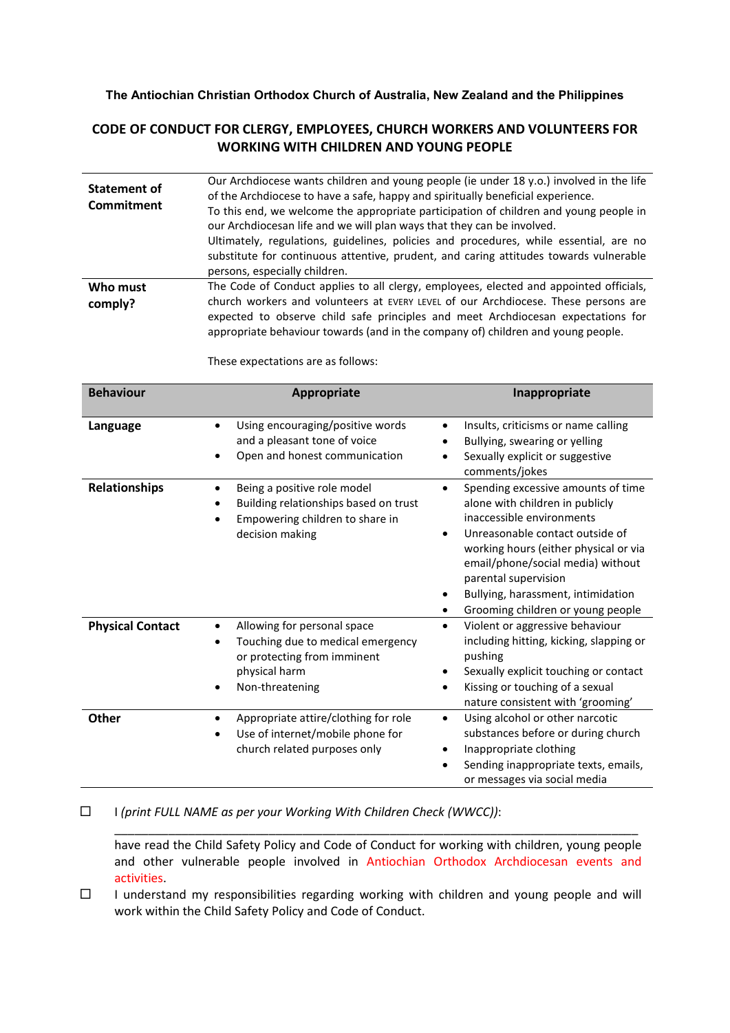## **The Antiochian Christian Orthodox Church of Australia, New Zealand and the Philippines**

## **CODE OF CONDUCT FOR CLERGY, EMPLOYEES, CHURCH WORKERS AND VOLUNTEERS FOR WORKING WITH CHILDREN AND YOUNG PEOPLE**

| Statement of<br>Commitment | Our Archdiocese wants children and young people (ie under 18 y.o.) involved in the life<br>of the Archdiocese to have a safe, happy and spiritually beneficial experience.<br>To this end, we welcome the appropriate participation of children and young people in<br>our Archdiocesan life and we will plan ways that they can be involved.<br>Ultimately, regulations, guidelines, policies and procedures, while essential, are no<br>substitute for continuous attentive, prudent, and caring attitudes towards vulnerable<br>persons, especially children. |
|----------------------------|------------------------------------------------------------------------------------------------------------------------------------------------------------------------------------------------------------------------------------------------------------------------------------------------------------------------------------------------------------------------------------------------------------------------------------------------------------------------------------------------------------------------------------------------------------------|
| Who must<br>comply?        | The Code of Conduct applies to all clergy, employees, elected and appointed officials,<br>church workers and volunteers at EVERY LEVEL of our Archdiocese. These persons are<br>expected to observe child safe principles and meet Archdiocesan expectations for<br>appropriate behaviour towards (and in the company of) children and young people.                                                                                                                                                                                                             |

These expectations are as follows:

| <b>Behaviour</b>        | Appropriate                                                                                                                         | Inappropriate                                                                                                                                                                                                                                                                                                                                    |
|-------------------------|-------------------------------------------------------------------------------------------------------------------------------------|--------------------------------------------------------------------------------------------------------------------------------------------------------------------------------------------------------------------------------------------------------------------------------------------------------------------------------------------------|
| Language                | Using encouraging/positive words<br>and a pleasant tone of voice<br>Open and honest communication                                   | Insults, criticisms or name calling<br>$\bullet$<br>Bullying, swearing or yelling<br>Sexually explicit or suggestive<br>$\bullet$<br>comments/jokes                                                                                                                                                                                              |
| <b>Relationships</b>    | Being a positive role model<br>Building relationships based on trust<br>Empowering children to share in<br>decision making          | Spending excessive amounts of time<br>$\bullet$<br>alone with children in publicly<br>inaccessible environments<br>Unreasonable contact outside of<br>$\bullet$<br>working hours (either physical or via<br>email/phone/social media) without<br>parental supervision<br>Bullying, harassment, intimidation<br>Grooming children or young people |
| <b>Physical Contact</b> | Allowing for personal space<br>Touching due to medical emergency<br>or protecting from imminent<br>physical harm<br>Non-threatening | Violent or aggressive behaviour<br>$\bullet$<br>including hitting, kicking, slapping or<br>pushing<br>Sexually explicit touching or contact<br>Kissing or touching of a sexual<br>$\bullet$<br>nature consistent with 'grooming'                                                                                                                 |
| <b>Other</b>            | Appropriate attire/clothing for role<br>Use of internet/mobile phone for<br>church related purposes only                            | Using alcohol or other narcotic<br>$\bullet$<br>substances before or during church<br>Inappropriate clothing<br>Sending inappropriate texts, emails,<br>or messages via social media                                                                                                                                                             |

I *(print FULL NAME as per your Working With Children Check (WWCC))*:

have read the Child Safety Policy and Code of Conduct for working with children, young people and other vulnerable people involved in Antiochian Orthodox Archdiocesan events and activities.

\_\_\_\_\_\_\_\_\_\_\_\_\_\_\_\_\_\_\_\_\_\_\_\_\_\_\_\_\_\_\_\_\_\_\_\_\_\_\_\_\_\_\_\_\_\_\_\_\_\_\_\_\_\_\_\_\_\_\_\_\_\_\_\_\_\_\_\_\_\_\_\_\_\_\_\_\_\_

 $\square$  I understand my responsibilities regarding working with children and young people and will work within the Child Safety Policy and Code of Conduct.